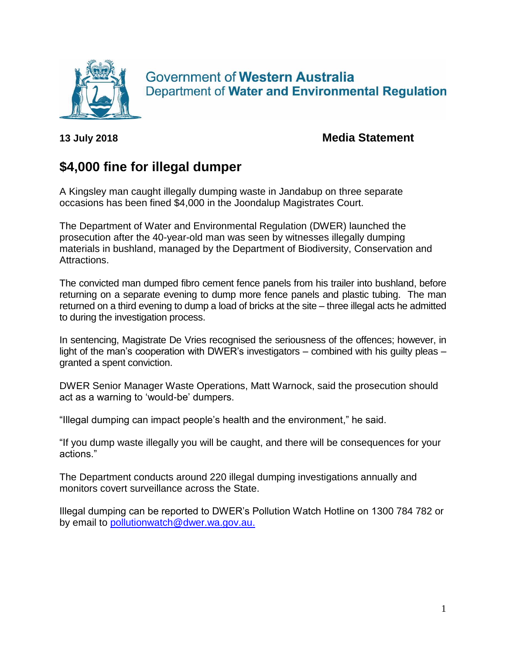

**Government of Western Australia** Department of Water and Environmental Regulation

**13 July 2018 Media Statement**

## **\$4,000 fine for illegal dumper**

A Kingsley man caught illegally dumping waste in Jandabup on three separate occasions has been fined \$4,000 in the Joondalup Magistrates Court.

The Department of Water and Environmental Regulation (DWER) launched the prosecution after the 40-year-old man was seen by witnesses illegally dumping materials in bushland, managed by the Department of Biodiversity, Conservation and Attractions.

The convicted man dumped fibro cement fence panels from his trailer into bushland, before returning on a separate evening to dump more fence panels and plastic tubing. The man returned on a third evening to dump a load of bricks at the site – three illegal acts he admitted to during the investigation process.

In sentencing, Magistrate De Vries recognised the seriousness of the offences; however, in light of the man's cooperation with DWER's investigators – combined with his guilty pleas – granted a spent conviction.

DWER Senior Manager Waste Operations, Matt Warnock, said the prosecution should act as a warning to 'would-be' dumpers.

"Illegal dumping can impact people's health and the environment," he said.

"If you dump waste illegally you will be caught, and there will be consequences for your actions."

The Department conducts around 220 illegal dumping investigations annually and monitors covert surveillance across the State.

Illegal dumping can be reported to DWER's Pollution Watch Hotline on 1300 784 782 or by email to [pollutionwatch@dwer.wa.gov.au.](mailto:pollutionwatch@dwer.wa.gov.au)